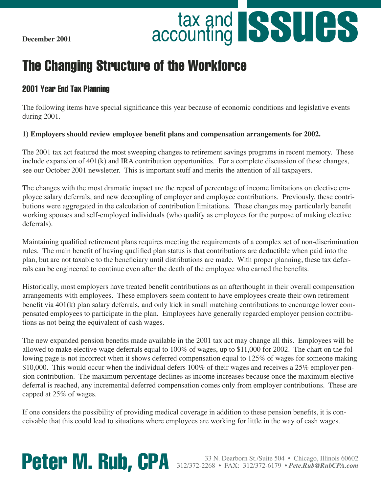**December 2001**

# accounting **SSUCS**

# The Changing Structure of the Workforce

### 2001 Year End Tax Planning

The following items have special significance this year because of economic conditions and legislative events during 2001.

#### **1) Employers should review employee benefit plans and compensation arrangements for 2002.**

The 2001 tax act featured the most sweeping changes to retirement savings programs in recent memory. These include expansion of 401(k) and IRA contribution opportunities. For a complete discussion of these changes, see our October 2001 newsletter. This is important stuff and merits the attention of all taxpayers.

The changes with the most dramatic impact are the repeal of percentage of income limitations on elective employee salary deferrals, and new decoupling of employer and employee contributions. Previously, these contributions were aggregated in the calculation of contribution limitations. These changes may particularly benefit working spouses and self-employed individuals (who qualify as employees for the purpose of making elective deferrals).

Maintaining qualified retirement plans requires meeting the requirements of a complex set of non-discrimination rules. The main benefit of having qualified plan status is that contributions are deductible when paid into the plan, but are not taxable to the beneficiary until distributions are made. With proper planning, these tax deferrals can be engineered to continue even after the death of the employee who earned the benefits.

Historically, most employers have treated benefit contributions as an afterthought in their overall compensation arrangements with employees. These employers seem content to have employees create their own retirement benefit via 401(k) plan salary deferrals, and only kick in small matching contributions to encourage lower compensated employees to participate in the plan. Employees have generally regarded employer pension contributions as not being the equivalent of cash wages.

The new expanded pension benefits made available in the 2001 tax act may change all this. Employees will be allowed to make elective wage deferrals equal to 100% of wages, up to \$11,000 for 2002. The chart on the following page is not incorrect when it shows deferred compensation equal to 125% of wages for someone making \$10,000. This would occur when the individual defers 100% of their wages and receives a 25% employer pension contribution. The maximum percentage declines as income increases because once the maximum elective deferral is reached, any incremental deferred compensation comes only from employer contributions. These are capped at 25% of wages.

If one considers the possibility of providing medical coverage in addition to these pension benefits, it is conceivable that this could lead to situations where employees are working for little in the way of cash wages.

**Peter M. Rub, CPA** 312/372-2268 • FAX: 312/372-6179 • *Pete.Rub@RubCPA.com*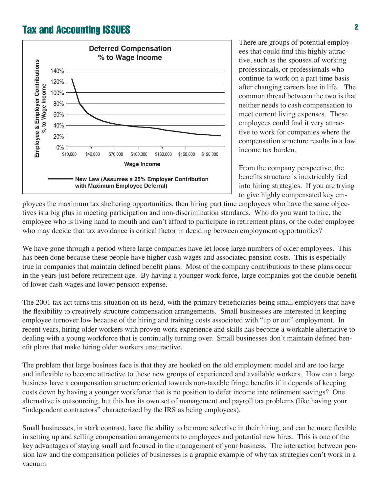

There are groups of potential employees that could find this highly attractive, such as the spouses of working professionals, or professionals who continue to work on a part time basis after changing careers late in life. The common thread between the two is that neither needs to cash compensation to meet current living expenses. These employees could find it very attractive to work for companies where the compensation structure results in a low income tax burden.

From the company perspective, the benefits structure is inextricably tied into hiring strategies. If you are trying to give highly compensated key em-

ployees the maximum tax sheltering opportunities, then hiring part time employees who have the same objectives is a big plus in meeting participation and non-discrimination standards. Who do you want to hire, the employee who is living hand to mouth and can't afford to participate in retirement plans, or the older employee who may decide that tax avoidance is critical factor in deciding between employment opportunities?

We have gone through a period where large companies have let loose large numbers of older employees. This has been done because these people have higher cash wages and associated pension costs. This is especially true in companies that maintain defined benefit plans. Most of the company contributions to these plans occur in the years just before retirement age. By having a younger work force, large companies got the double benefit of lower cash wages and lower pension expense.

The 2001 tax act turns this situation on its head, with the primary beneficiaries being small employers that have the flexibility to creatively structure compensation arrangements. Small businesses are interested in keeping employee turnover low because of the hiring and training costs associated with "up or out" employment. In recent years, hiring older workers with proven work experience and skills has become a workable alternative to dealing with a young workforce that is continually turning over. Small businesses don't maintain defined benefit plans that make hiring older workers unattractive.

The problem that large business face is that they are hooked on the old employment model and are too large and inflexible to become attractive to these new groups of experienced and available workers. How can a large business have a compensation structure oriented towards non-taxable fringe benefits if it depends of keeping costs down by having a younger workforce that is no position to defer income into retirement savings? One alternative is outsourcing, but this has its own set of management and payroll tax problems (like having your "independent contractors" characterized by the IRS as being employees).

Small businesses, in stark contrast, have the ability to be more selective in their hiring, and can be more flexible in setting up and selling compensation arrangements to employees and potential new hires. This is one of the key advantages of staying small and focused in the management of your business. The interaction between pension law and the compensation policies of businesses is a graphic example of why tax strategies don't work in a vacuum.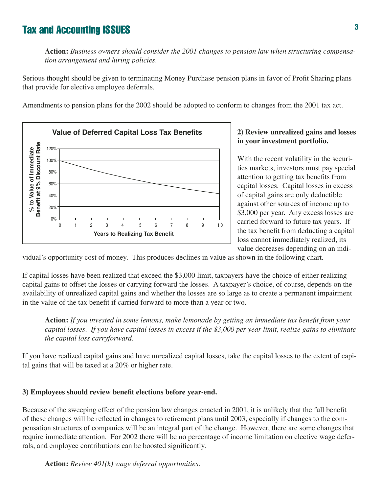**Action:** *Business owners should consider the 2001 changes to pension law when structuring compensation arrangement and hiring policies.*

Serious thought should be given to terminating Money Purchase pension plans in favor of Profit Sharing plans that provide for elective employee deferrals.

Amendments to pension plans for the 2002 should be adopted to conform to changes from the 2001 tax act.



#### **2) Review unrealized gains and losses in your investment portfolio.**

With the recent volatility in the securities markets, investors must pay special attention to getting tax benefits from capital losses. Capital losses in excess of capital gains are only deductible against other sources of income up to \$3,000 per year. Any excess losses are carried forward to future tax years. If the tax benefit from deducting a capital loss cannot immediately realized, its value decreases depending on an indi-

vidual's opportunity cost of money. This produces declines in value as shown in the following chart.

If capital losses have been realized that exceed the \$3,000 limit, taxpayers have the choice of either realizing capital gains to offset the losses or carrying forward the losses. A taxpayer's choice, of course, depends on the availability of unrealized capital gains and whether the losses are so large as to create a permanent impairment in the value of the tax benefit if carried forward to more than a year or two.

**Action:** *If you invested in some lemons, make lemonade by getting an immediate tax benefit from your capital losses. If you have capital losses in excess if the \$3,000 per year limit, realize gains to eliminate the capital loss carryforward.*

If you have realized capital gains and have unrealized capital losses, take the capital losses to the extent of capital gains that will be taxed at a 20% or higher rate.

#### **3) Employees should review benefit elections before year-end.**

Because of the sweeping effect of the pension law changes enacted in 2001, it is unlikely that the full benefit of these changes will be reflected in changes to retirement plans until 2003, especially if changes to the compensation structures of companies will be an integral part of the change. However, there are some changes that require immediate attention. For 2002 there will be no percentage of income limitation on elective wage deferrals, and employee contributions can be boosted significantly.

**Action:** *Review 401(k) wage deferral opportunities.*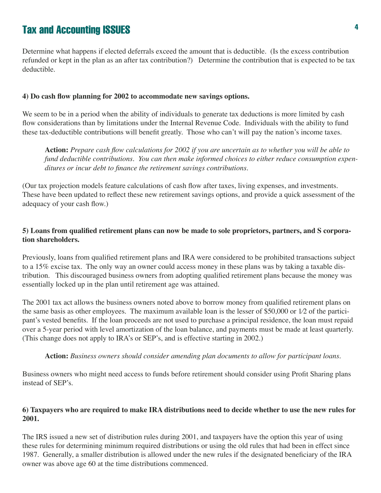Determine what happens if elected deferrals exceed the amount that is deductible. (Is the excess contribution refunded or kept in the plan as an after tax contribution?) Determine the contribution that is expected to be tax deductible.

#### **4) Do cash flow planning for 2002 to accommodate new savings options.**

We seem to be in a period when the ability of individuals to generate tax deductions is more limited by cash flow considerations than by limitations under the Internal Revenue Code. Individuals with the ability to fund these tax-deductible contributions will benefit greatly. Those who can't will pay the nation's income taxes.

**Action:** *Prepare cash flow calculations for 2002 if you are uncertain as to whether you will be able to fund deductible contributions. You can then make informed choices to either reduce consumption expenditures or incur debt to finance the retirement savings contributions.* 

(Our tax projection models feature calculations of cash flow after taxes, living expenses, and investments. These have been updated to reflect these new retirement savings options, and provide a quick assessment of the adequacy of your cash flow.)

#### **5) Loans from qualified retirement plans can now be made to sole proprietors, partners, and S corporation shareholders.**

Previously, loans from qualified retirement plans and IRA were considered to be prohibited transactions subject to a 15% excise tax. The only way an owner could access money in these plans was by taking a taxable distribution. This discouraged business owners from adopting qualified retirement plans because the money was essentially locked up in the plan until retirement age was attained.

The 2001 tax act allows the business owners noted above to borrow money from qualified retirement plans on the same basis as other employees. The maximum available loan is the lesser of \$50,000 or 1⁄2 of the participant's vested benefits. If the loan proceeds are not used to purchase a principal residence, the loan must repaid over a 5-year period with level amortization of the loan balance, and payments must be made at least quarterly. (This change does not apply to IRA's or SEP's, and is effective starting in 2002.)

**Action:** *Business owners should consider amending plan documents to allow for participant loans.*

Business owners who might need access to funds before retirement should consider using Profit Sharing plans instead of SEP's.

#### **6) Taxpayers who are required to make IRA distributions need to decide whether to use the new rules for 2001.**

The IRS issued a new set of distribution rules during 2001, and taxpayers have the option this year of using these rules for determining minimum required distributions or using the old rules that had been in effect since 1987. Generally, a smaller distribution is allowed under the new rules if the designated beneficiary of the IRA owner was above age 60 at the time distributions commenced.